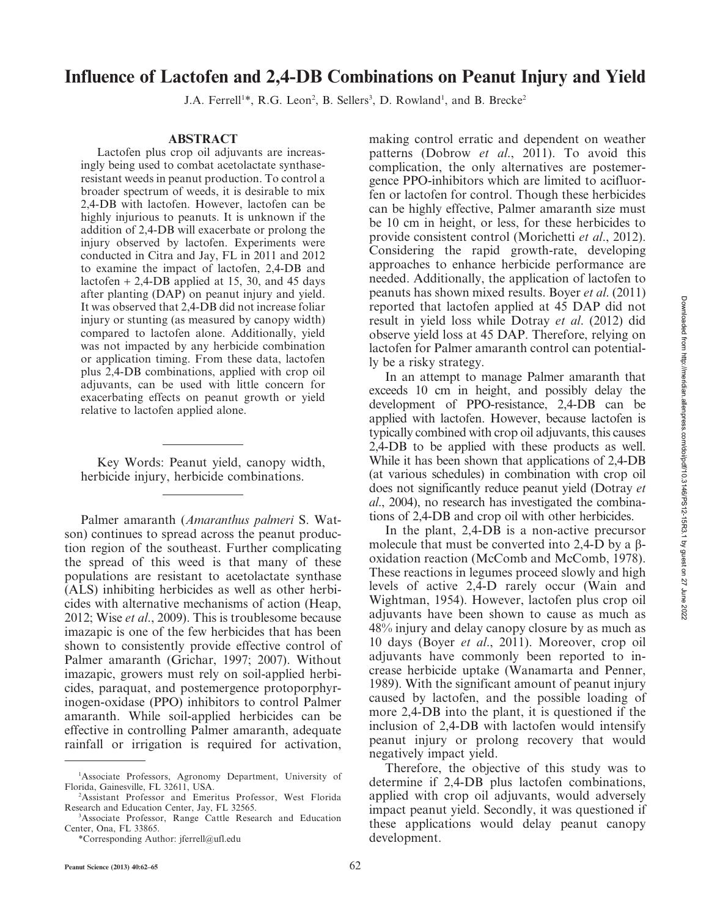# Influence of Lactofen and 2,4-DB Combinations on Peanut Injury and Yield

J.A. Ferrell<sup>1\*</sup>, R.G. Leon<sup>2</sup>, B. Sellers<sup>3</sup>, D. Rowland<sup>1</sup>, and B. Brecke<sup>2</sup>

#### ABSTRACT

Lactofen plus crop oil adjuvants are increasingly being used to combat acetolactate synthaseresistant weeds in peanut production. To control a broader spectrum of weeds, it is desirable to mix 2,4-DB with lactofen. However, lactofen can be highly injurious to peanuts. It is unknown if the addition of 2,4-DB will exacerbate or prolong the injury observed by lactofen. Experiments were conducted in Citra and Jay, FL in 2011 and 2012 to examine the impact of lactofen, 2,4-DB and lactofen  $+ 2,4$ -DB applied at 15, 30, and 45 days after planting (DAP) on peanut injury and yield. It was observed that 2,4-DB did not increase foliar injury or stunting (as measured by canopy width) compared to lactofen alone. Additionally, yield was not impacted by any herbicide combination or application timing. From these data, lactofen plus 2,4-DB combinations, applied with crop oil adjuvants, can be used with little concern for exacerbating effects on peanut growth or yield relative to lactofen applied alone.

Key Words: Peanut yield, canopy width, herbicide injury, herbicide combinations.

Palmer amaranth (Amaranthus palmeri S. Watson) continues to spread across the peanut production region of the southeast. Further complicating the spread of this weed is that many of these populations are resistant to acetolactate synthase (ALS) inhibiting herbicides as well as other herbicides with alternative mechanisms of action (Heap, 2012; Wise et al., 2009). This is troublesome because imazapic is one of the few herbicides that has been shown to consistently provide effective control of Palmer amaranth (Grichar, 1997; 2007). Without imazapic, growers must rely on soil-applied herbicides, paraquat, and postemergence protoporphyrinogen-oxidase (PPO) inhibitors to control Palmer amaranth. While soil-applied herbicides can be effective in controlling Palmer amaranth, adequate rainfall or irrigation is required for activation, making control erratic and dependent on weather patterns (Dobrow et al., 2011). To avoid this complication, the only alternatives are postemergence PPO-inhibitors which are limited to acifluorfen or lactofen for control. Though these herbicides can be highly effective, Palmer amaranth size must be 10 cm in height, or less, for these herbicides to provide consistent control (Morichetti et al., 2012). Considering the rapid growth-rate, developing approaches to enhance herbicide performance are needed. Additionally, the application of lactofen to peanuts has shown mixed results. Boyer et al. (2011) reported that lactofen applied at 45 DAP did not result in yield loss while Dotray et al. (2012) did observe yield loss at 45 DAP. Therefore, relying on lactofen for Palmer amaranth control can potentially be a risky strategy.

In an attempt to manage Palmer amaranth that exceeds 10 cm in height, and possibly delay the development of PPO-resistance, 2,4-DB can be applied with lactofen. However, because lactofen is typically combined with crop oil adjuvants, this causes 2,4-DB to be applied with these products as well. While it has been shown that applications of 2,4-DB (at various schedules) in combination with crop oil does not significantly reduce peanut yield (Dotray et al., 2004), no research has investigated the combinations of 2,4-DB and crop oil with other herbicides.

In the plant, 2,4-DB is a non-active precursor molecule that must be converted into 2,4-D by a  $\beta$ oxidation reaction (McComb and McComb, 1978). These reactions in legumes proceed slowly and high levels of active 2,4-D rarely occur (Wain and Wightman, 1954). However, lactofen plus crop oil adjuvants have been shown to cause as much as 48% injury and delay canopy closure by as much as 10 days (Boyer et al., 2011). Moreover, crop oil adjuvants have commonly been reported to increase herbicide uptake (Wanamarta and Penner, 1989). With the significant amount of peanut injury caused by lactofen, and the possible loading of more 2,4-DB into the plant, it is questioned if the inclusion of 2,4-DB with lactofen would intensify peanut injury or prolong recovery that would negatively impact yield.

Therefore, the objective of this study was to determine if 2,4-DB plus lactofen combinations, applied with crop oil adjuvants, would adversely impact peanut yield. Secondly, it was questioned if these applications would delay peanut canopy development.

<sup>&</sup>lt;sup>1</sup>Associate Professors, Agronomy Department, University of Florida, Gainesville, FL 32611, USA.

<sup>2</sup> Assistant Professor and Emeritus Professor, West Florida Research and Education Center, Jay, FL 32565.

<sup>3</sup> Associate Professor, Range Cattle Research and Education Center, Ona, FL 33865.

<sup>\*</sup>Corresponding Author: jferrell@ufl.edu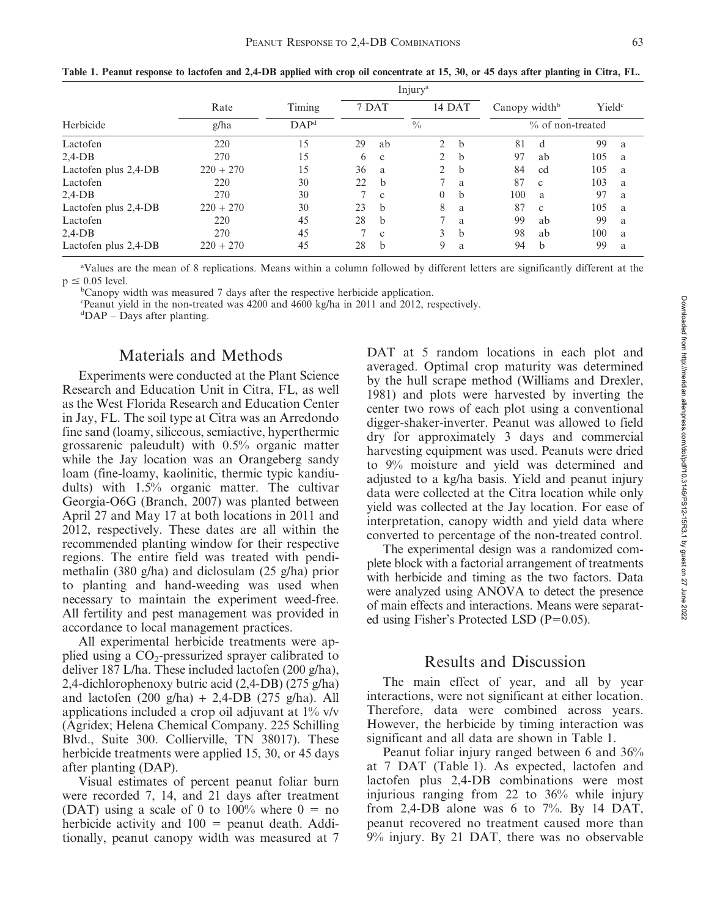|                      |             |                  | Injury <sup>a</sup> |              |                |                  |                           |              |                    |   |
|----------------------|-------------|------------------|---------------------|--------------|----------------|------------------|---------------------------|--------------|--------------------|---|
|                      | Rate        | Timing           | 7 DAT               |              |                | 14 DAT           | Canopy width <sup>b</sup> |              | Yield <sup>c</sup> |   |
| Herbicide            | g/ha        | DAP <sup>d</sup> | $\frac{0}{0}$       |              |                | % of non-treated |                           |              |                    |   |
| Lactofen             | 220         | 15               | 29                  | ab           | $\overline{2}$ | b                | 81                        | d            | 99                 | a |
| $2,4-DB$             | 270         | 15               | 6                   | $\mathbf{c}$ | $\overline{2}$ | b                | 97                        | ab           | 105                | a |
| Lactofen plus 2,4-DB | $220 + 270$ | 15               | 36                  | a            | $\overline{2}$ | b                | 84                        | cd           | 105                | a |
| Lactofen             | 220         | 30               | 22                  | b            |                | a                | 87                        | $\mathbf{c}$ | 103                | a |
| $2,4-DB$             | 270         | 30               |                     | $\mathbf{c}$ | 0              | b                | 100                       | a.           | 97                 | a |
| Lactofen plus 2,4-DB | $220 + 270$ | 30               | 23                  | b            | 8              | a                | 87                        | $\mathbf{c}$ | 105                | a |
| Lactofen             | 220         | 45               | 28                  | b            | 7              | a                | 99                        | ab           | 99                 | a |
| $2,4-DB$             | 270         | 45               |                     | $\mathbf{c}$ | 3              | b                | 98                        | ab           | 100                | a |
| Lactofen plus 2,4-DB | $220 + 270$ | 45               | 28                  | $\mathbf b$  | 9              | a                | 94                        | $\mathbf b$  | 99                 | a |

Table 1. Peanut response to lactofen and 2,4-DB applied with crop oil concentrate at 15, 30, or 45 days after planting in Citra, FL.

a Values are the mean of 8 replications. Means within a column followed by different letters are significantly different at the  $p \leq 0.05$  level.

b Canopy width was measured 7 days after the respective herbicide application.

c Peanut yield in the non-treated was 4200 and 4600 kg/ha in 2011 and 2012, respectively.

d DAP – Days after planting.

## Materials and Methods

Experiments were conducted at the Plant Science Research and Education Unit in Citra, FL, as well as the West Florida Research and Education Center in Jay, FL. The soil type at Citra was an Arredondo fine sand (loamy, siliceous, semiactive, hyperthermic grossarenic paleudult) with 0.5% organic matter while the Jay location was an Orangeberg sandy loam (fine-loamy, kaolinitic, thermic typic kandiudults) with 1.5% organic matter. The cultivar Georgia-O6G (Branch, 2007) was planted between April 27 and May 17 at both locations in 2011 and 2012, respectively. These dates are all within the recommended planting window for their respective regions. The entire field was treated with pendimethalin (380 g/ha) and diclosulam (25 g/ha) prior to planting and hand-weeding was used when necessary to maintain the experiment weed-free. All fertility and pest management was provided in accordance to local management practices.

All experimental herbicide treatments were applied using a  $CO_2$ -pressurized sprayer calibrated to deliver 187 L/ha. These included lactofen (200 g/ha), 2,4-dichlorophenoxy butric acid (2,4-DB) (275 g/ha) and lactofen  $(200 \text{ g/ha}) + 2,4-\text{DB}$   $(275 \text{ g/ha})$ . All applications included a crop oil adjuvant at 1% v/v (Agridex; Helena Chemical Company. 225 Schilling Blvd., Suite 300. Collierville, TN 38017). These herbicide treatments were applied 15, 30, or 45 days after planting (DAP).

Visual estimates of percent peanut foliar burn were recorded 7, 14, and 21 days after treatment (DAT) using a scale of 0 to 100% where  $0 = no$ herbicide activity and  $100 =$  peanut death. Additionally, peanut canopy width was measured at 7 DAT at 5 random locations in each plot and averaged. Optimal crop maturity was determined by the hull scrape method (Williams and Drexler, 1981) and plots were harvested by inverting the center two rows of each plot using a conventional digger-shaker-inverter. Peanut was allowed to field dry for approximately 3 days and commercial harvesting equipment was used. Peanuts were dried to 9% moisture and yield was determined and adjusted to a kg/ha basis. Yield and peanut injury data were collected at the Citra location while only yield was collected at the Jay location. For ease of interpretation, canopy width and yield data where converted to percentage of the non-treated control.

The experimental design was a randomized complete block with a factorial arrangement of treatments with herbicide and timing as the two factors. Data were analyzed using ANOVA to detect the presence of main effects and interactions. Means were separated using Fisher's Protected LSD ( $P=0.05$ ).

#### Results and Discussion

The main effect of year, and all by year interactions, were not significant at either location. Therefore, data were combined across years. However, the herbicide by timing interaction was significant and all data are shown in Table 1.

Peanut foliar injury ranged between 6 and 36% at 7 DAT (Table 1). As expected, lactofen and lactofen plus 2,4-DB combinations were most injurious ranging from 22 to 36% while injury from 2,4-DB alone was 6 to  $7\%$ . By 14 DAT, peanut recovered no treatment caused more than 9% injury. By 21 DAT, there was no observable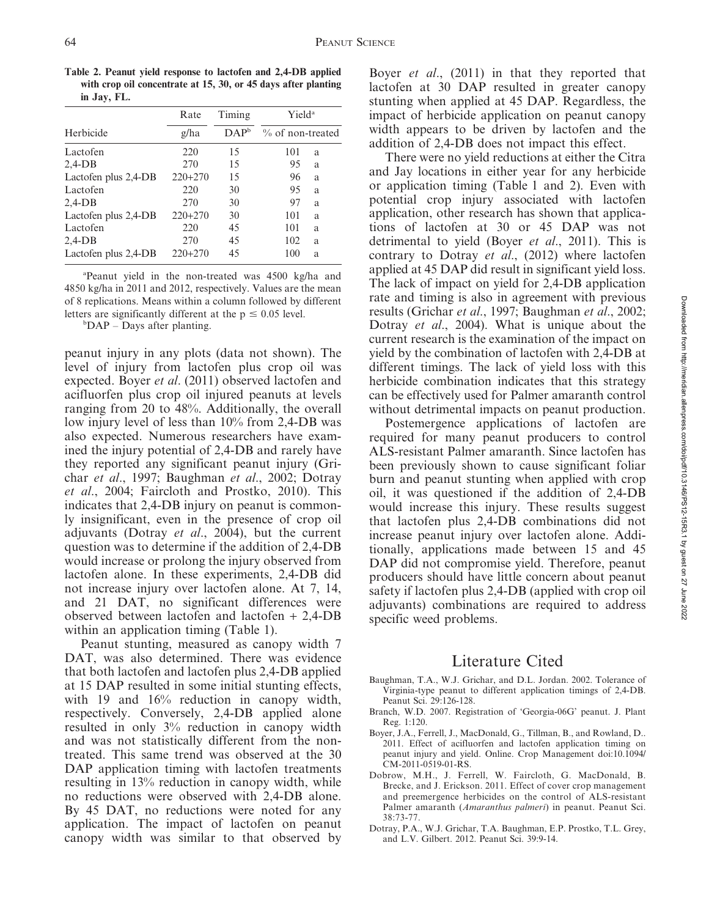Table 2. Peanut yield response to lactofen and 2,4-DB applied with crop oil concentrate at 15, 30, or 45 days after planting in Jay, FL.

|                      | Rate      | Timing           | Yield <sup>a</sup><br>% of non-treated |  |  |  |
|----------------------|-----------|------------------|----------------------------------------|--|--|--|
| Herbicide            | g/ha      | DAP <sup>b</sup> |                                        |  |  |  |
| Lactofen             | 220       | 15               | 101<br>a                               |  |  |  |
| $2,4-DB$             | 270       | 15               | 95<br>a                                |  |  |  |
| Lactofen plus 2,4-DB | $220+270$ | 15               | 96<br>a                                |  |  |  |
| Lactofen             | 220       | 30               | 95<br>a                                |  |  |  |
| $2,4-DB$             | 270       | 30               | 97<br>a                                |  |  |  |
| Lactofen plus 2,4-DB | $220+270$ | 30               | 101<br>a                               |  |  |  |
| Lactofen             | 220       | 45               | 101<br>a                               |  |  |  |
| $2,4-DB$             | 270       | 45               | 102<br>a                               |  |  |  |
| Lactofen plus 2,4-DB | $220+270$ | 45               | 100<br>a                               |  |  |  |

a Peanut yield in the non-treated was 4500 kg/ha and 4850 kg/ha in 2011 and 2012, respectively. Values are the mean of 8 replications. Means within a column followed by different letters are significantly different at the  $p \le 0.05$  level.

b DAP – Days after planting.

peanut injury in any plots (data not shown). The level of injury from lactofen plus crop oil was expected. Boyer et al. (2011) observed lactofen and acifluorfen plus crop oil injured peanuts at levels ranging from 20 to 48%. Additionally, the overall low injury level of less than 10% from 2,4-DB was also expected. Numerous researchers have examined the injury potential of 2,4-DB and rarely have they reported any significant peanut injury (Grichar et al., 1997; Baughman et al., 2002; Dotray et al., 2004; Faircloth and Prostko, 2010). This indicates that 2,4-DB injury on peanut is commonly insignificant, even in the presence of crop oil adjuvants (Dotray et al., 2004), but the current question was to determine if the addition of 2,4-DB would increase or prolong the injury observed from lactofen alone. In these experiments, 2,4-DB did not increase injury over lactofen alone. At 7, 14, and 21 DAT, no significant differences were observed between lactofen and lactofen + 2,4-DB within an application timing (Table 1).

Peanut stunting, measured as canopy width 7 DAT, was also determined. There was evidence that both lactofen and lactofen plus 2,4-DB applied at 15 DAP resulted in some initial stunting effects, with 19 and 16% reduction in canopy width, respectively. Conversely, 2,4-DB applied alone resulted in only 3% reduction in canopy width and was not statistically different from the nontreated. This same trend was observed at the 30 DAP application timing with lactofen treatments resulting in 13% reduction in canopy width, while no reductions were observed with 2,4-DB alone. By 45 DAT, no reductions were noted for any application. The impact of lactofen on peanut canopy width was similar to that observed by Boyer *et al.*, (2011) in that they reported that lactofen at 30 DAP resulted in greater canopy stunting when applied at 45 DAP. Regardless, the impact of herbicide application on peanut canopy width appears to be driven by lactofen and the addition of 2,4-DB does not impact this effect.

There were no yield reductions at either the Citra and Jay locations in either year for any herbicide or application timing (Table 1 and 2). Even with potential crop injury associated with lactofen application, other research has shown that applications of lactofen at 30 or 45 DAP was not detrimental to yield (Boyer et al., 2011). This is contrary to Dotray et al., (2012) where lactofen applied at 45 DAP did result in significant yield loss. The lack of impact on yield for 2,4-DB application rate and timing is also in agreement with previous results (Grichar et al., 1997; Baughman et al., 2002; Dotray et al., 2004). What is unique about the current research is the examination of the impact on yield by the combination of lactofen with 2,4-DB at different timings. The lack of yield loss with this herbicide combination indicates that this strategy can be effectively used for Palmer amaranth control without detrimental impacts on peanut production.

Postemergence applications of lactofen are required for many peanut producers to control ALS-resistant Palmer amaranth. Since lactofen has been previously shown to cause significant foliar burn and peanut stunting when applied with crop oil, it was questioned if the addition of 2,4-DB would increase this injury. These results suggest that lactofen plus 2,4-DB combinations did not increase peanut injury over lactofen alone. Additionally, applications made between 15 and 45 DAP did not compromise yield. Therefore, peanut producers should have little concern about peanut safety if lactofen plus 2,4-DB (applied with crop oil adjuvants) combinations are required to address specific weed problems.

## Literature Cited

- Baughman, T.A., W.J. Grichar, and D.L. Jordan. 2002. Tolerance of Virginia-type peanut to different application timings of 2,4-DB. Peanut Sci. 29:126-128.
- Branch, W.D. 2007. Registration of 'Georgia-06G' peanut. J. Plant Reg. 1:120.
- Boyer, J.A., Ferrell, J., MacDonald, G., Tillman, B., and Rowland, D.. 2011. Effect of acifluorfen and lactofen application timing on peanut injury and yield. Online. Crop Management doi:10.1094/ CM-2011-0519-01-RS.
- Dobrow, M.H., J. Ferrell, W. Faircloth, G. MacDonald, B. Brecke, and J. Erickson. 2011. Effect of cover crop management and preemergence herbicides on the control of ALS-resistant Palmer amaranth (Amaranthus palmeri) in peanut. Peanut Sci. 38:73-77.
- Dotray, P.A., W.J. Grichar, T.A. Baughman, E.P. Prostko, T.L. Grey, and L.V. Gilbert. 2012. Peanut Sci. 39:9-14.